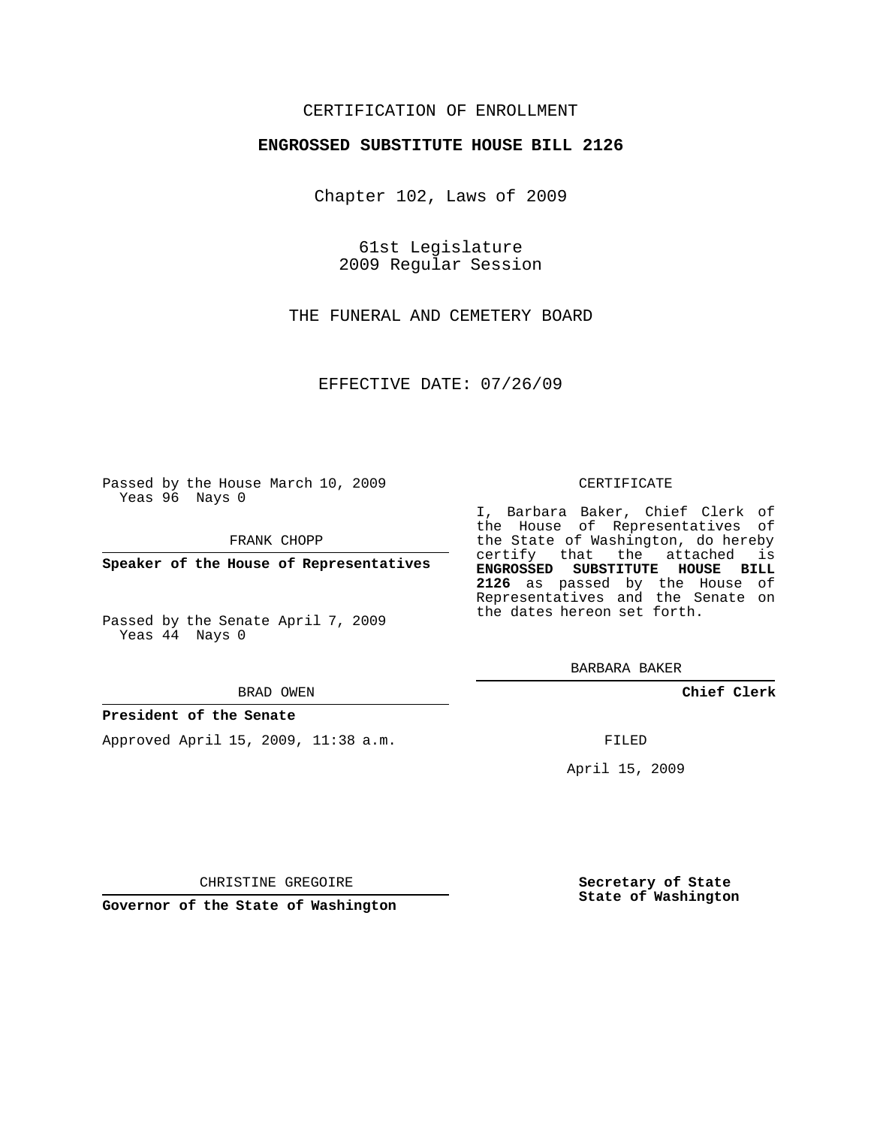# CERTIFICATION OF ENROLLMENT

## **ENGROSSED SUBSTITUTE HOUSE BILL 2126**

Chapter 102, Laws of 2009

61st Legislature 2009 Regular Session

THE FUNERAL AND CEMETERY BOARD

EFFECTIVE DATE: 07/26/09

Passed by the House March 10, 2009 Yeas 96 Nays 0

FRANK CHOPP

**Speaker of the House of Representatives**

Yeas 44 Nays 0

BRAD OWEN

### **President of the Senate**

Approved April 15, 2009, 11:38 a.m.

#### CERTIFICATE

I, Barbara Baker, Chief Clerk of the House of Representatives of the State of Washington, do hereby certify that the attached is **ENGROSSED SUBSTITUTE HOUSE BILL 2126** as passed by the House of Representatives and the Senate on the dates hereon set forth.

BARBARA BAKER

**Chief Clerk**

FILED

April 15, 2009

**Secretary of State State of Washington**

CHRISTINE GREGOIRE

**Governor of the State of Washington**

Passed by the Senate April 7, 2009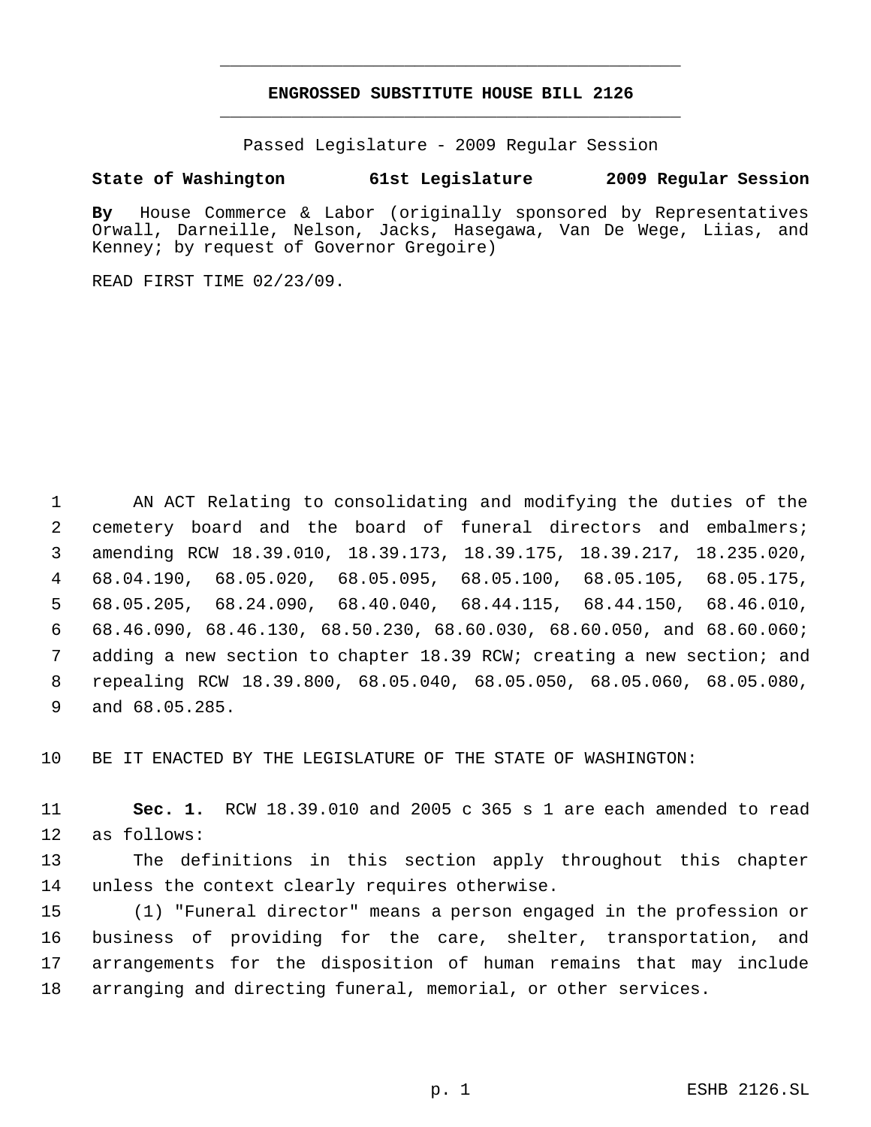# **ENGROSSED SUBSTITUTE HOUSE BILL 2126** \_\_\_\_\_\_\_\_\_\_\_\_\_\_\_\_\_\_\_\_\_\_\_\_\_\_\_\_\_\_\_\_\_\_\_\_\_\_\_\_\_\_\_\_\_

\_\_\_\_\_\_\_\_\_\_\_\_\_\_\_\_\_\_\_\_\_\_\_\_\_\_\_\_\_\_\_\_\_\_\_\_\_\_\_\_\_\_\_\_\_

Passed Legislature - 2009 Regular Session

# **State of Washington 61st Legislature 2009 Regular Session**

**By** House Commerce & Labor (originally sponsored by Representatives Orwall, Darneille, Nelson, Jacks, Hasegawa, Van De Wege, Liias, and Kenney; by request of Governor Gregoire)

READ FIRST TIME 02/23/09.

 AN ACT Relating to consolidating and modifying the duties of the cemetery board and the board of funeral directors and embalmers; amending RCW 18.39.010, 18.39.173, 18.39.175, 18.39.217, 18.235.020, 68.04.190, 68.05.020, 68.05.095, 68.05.100, 68.05.105, 68.05.175, 68.05.205, 68.24.090, 68.40.040, 68.44.115, 68.44.150, 68.46.010, 68.46.090, 68.46.130, 68.50.230, 68.60.030, 68.60.050, and 68.60.060; adding a new section to chapter 18.39 RCW; creating a new section; and repealing RCW 18.39.800, 68.05.040, 68.05.050, 68.05.060, 68.05.080, and 68.05.285.

BE IT ENACTED BY THE LEGISLATURE OF THE STATE OF WASHINGTON:

 **Sec. 1.** RCW 18.39.010 and 2005 c 365 s 1 are each amended to read as follows:

 The definitions in this section apply throughout this chapter unless the context clearly requires otherwise.

 (1) "Funeral director" means a person engaged in the profession or business of providing for the care, shelter, transportation, and arrangements for the disposition of human remains that may include arranging and directing funeral, memorial, or other services.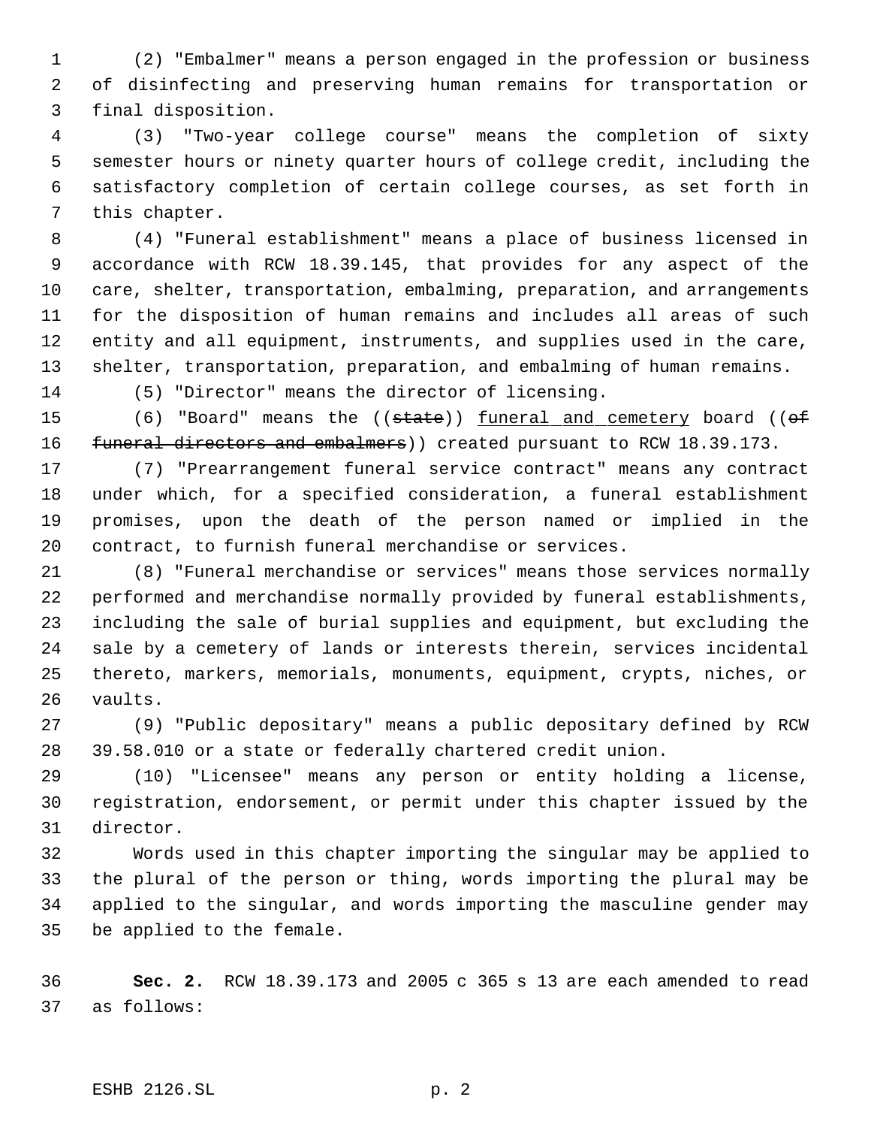(2) "Embalmer" means a person engaged in the profession or business of disinfecting and preserving human remains for transportation or final disposition.

 (3) "Two-year college course" means the completion of sixty semester hours or ninety quarter hours of college credit, including the satisfactory completion of certain college courses, as set forth in this chapter.

 (4) "Funeral establishment" means a place of business licensed in accordance with RCW 18.39.145, that provides for any aspect of the care, shelter, transportation, embalming, preparation, and arrangements for the disposition of human remains and includes all areas of such entity and all equipment, instruments, and supplies used in the care, shelter, transportation, preparation, and embalming of human remains.

(5) "Director" means the director of licensing.

15 (6) "Board" means the ((state)) funeral and cemetery board ((of 16 funeral directors and embalmers) created pursuant to RCW 18.39.173.

 (7) "Prearrangement funeral service contract" means any contract under which, for a specified consideration, a funeral establishment promises, upon the death of the person named or implied in the contract, to furnish funeral merchandise or services.

 (8) "Funeral merchandise or services" means those services normally performed and merchandise normally provided by funeral establishments, including the sale of burial supplies and equipment, but excluding the sale by a cemetery of lands or interests therein, services incidental thereto, markers, memorials, monuments, equipment, crypts, niches, or vaults.

 (9) "Public depositary" means a public depositary defined by RCW 39.58.010 or a state or federally chartered credit union.

 (10) "Licensee" means any person or entity holding a license, registration, endorsement, or permit under this chapter issued by the director.

 Words used in this chapter importing the singular may be applied to the plural of the person or thing, words importing the plural may be applied to the singular, and words importing the masculine gender may be applied to the female.

 **Sec. 2.** RCW 18.39.173 and 2005 c 365 s 13 are each amended to read as follows: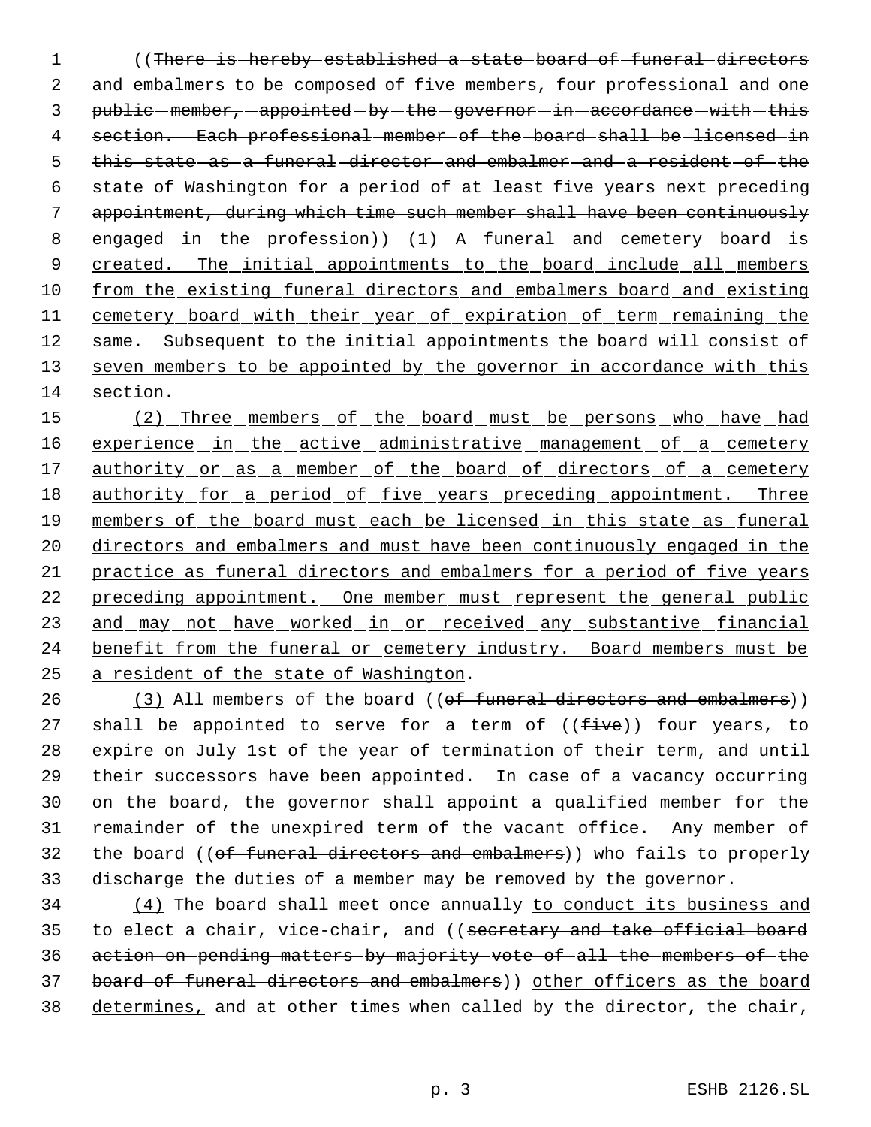1 ((There is hereby established a state board of funeral directors 2 and embalmers to be composed of five members, four professional and one 3 public-member, -appointed-by-the-governor-in-accordance-with-this 4 section. Each professional member of the board shall be licensed in 5 this state as a funeral director and embalmer and a resident of the 6 state of Washington for a period of at least five years next preceding 7 appointment, during which time such member shall have been continuously 8 engaged-in-the-profession)) (1) A funeral and cemetery board is 9 created. The initial appointments to the board include all members 10 from the existing funeral directors and embalmers board and existing 11 cemetery board with their year of expiration of term remaining the 12 same. Subsequent to the initial appointments the board will consist of 13 seven members to be appointed by the governor in accordance with this 14 section.

15 (2) Three members of the board must be persons who have had 16 experience in the active administrative management of a cemetery 17 authority or as a member of the board of directors of a cemetery 18 authority for a period of five years preceding appointment. Three 19 members of the board must each be licensed in this state as funeral 20 directors and embalmers and must have been continuously engaged in the 21 practice as funeral directors and embalmers for a period of five years 22 preceding appointment. One member must represent the general public 23 and may not have worked in or received any substantive financial 24 benefit from the funeral or cemetery industry. Board members must be 25 a resident of the state of Washington.

26 (3) All members of the board ((of funeral directors and embalmers)) 27 shall be appointed to serve for a term of  $((five))$  four years, to expire on July 1st of the year of termination of their term, and until their successors have been appointed. In case of a vacancy occurring on the board, the governor shall appoint a qualified member for the remainder of the unexpired term of the vacant office. Any member of 32 the board ((of funeral directors and embalmers)) who fails to properly discharge the duties of a member may be removed by the governor.

34 (4) The board shall meet once annually to conduct its business and 35 to elect a chair, vice-chair, and ((secretary and take official board 36 action on pending matters by majority vote of all the members of the 37 board of funeral directors and embalmers)) other officers as the board 38 determines, and at other times when called by the director, the chair,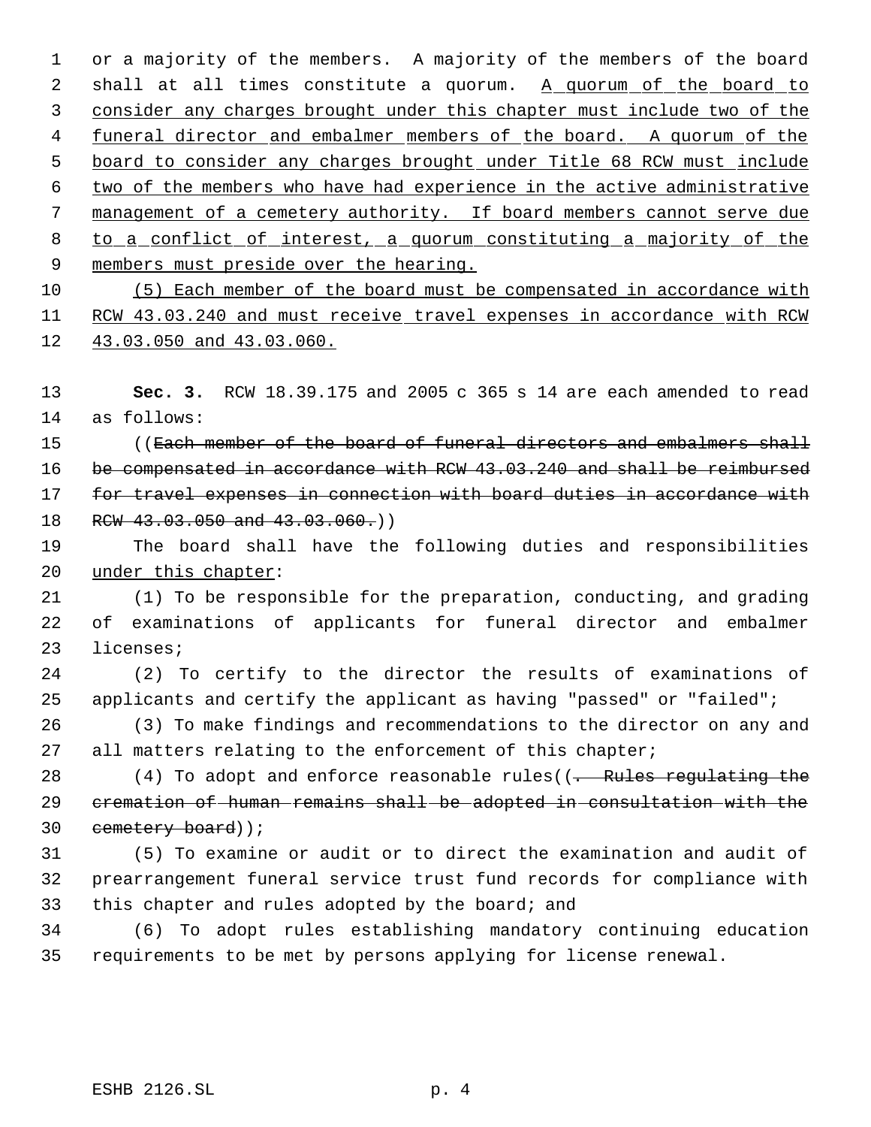or a majority of the members. A majority of the members of the board 2 shall at all times constitute a quorum. A quorum of the board to consider any charges brought under this chapter must include two of the 4 funeral director and embalmer members of the board. A quorum of the board to consider any charges brought under Title 68 RCW must include two of the members who have had experience in the active administrative management of a cemetery authority. If board members cannot serve due 8 to a conflict of interest, a quorum constituting a majority of the 9 members must preside over the hearing. (5) Each member of the board must be compensated in accordance with

 RCW 43.03.240 and must receive travel expenses in accordance with RCW 43.03.050 and 43.03.060.

 **Sec. 3.** RCW 18.39.175 and 2005 c 365 s 14 are each amended to read as follows:

15 ((Each member of the board of funeral directors and embalmers shall be compensated in accordance with RCW 43.03.240 and shall be reimbursed 17 for travel expenses in connection with board duties in accordance with 18 RCW 43.03.050 and 43.03.060.)

 The board shall have the following duties and responsibilities under this chapter:

 (1) To be responsible for the preparation, conducting, and grading of examinations of applicants for funeral director and embalmer licenses;

 (2) To certify to the director the results of examinations of applicants and certify the applicant as having "passed" or "failed";

 (3) To make findings and recommendations to the director on any and 27 all matters relating to the enforcement of this chapter;

28 (4) To adopt and enforce reasonable rules((<del>. Rules regulating the</del> cremation of human remains shall be adopted in consultation with the cemetery board));

 (5) To examine or audit or to direct the examination and audit of prearrangement funeral service trust fund records for compliance with this chapter and rules adopted by the board; and

 (6) To adopt rules establishing mandatory continuing education requirements to be met by persons applying for license renewal.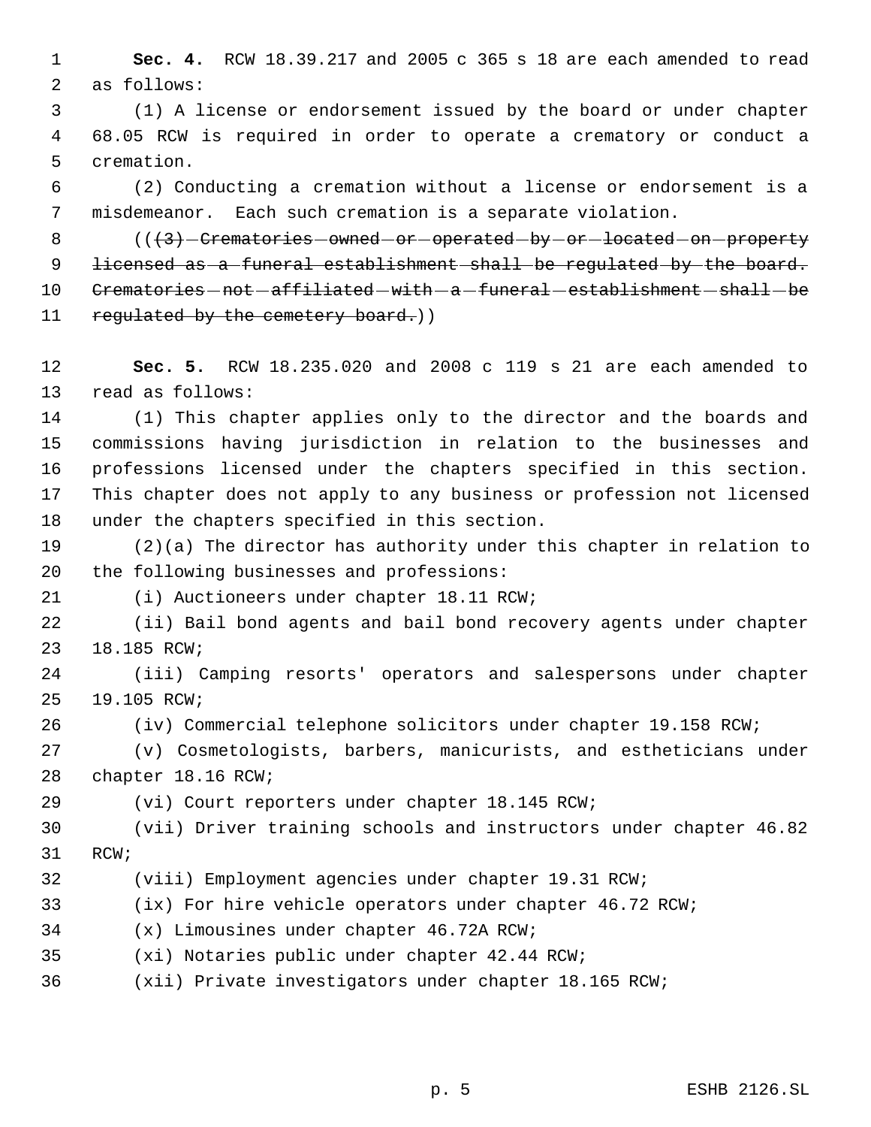**Sec. 4.** RCW 18.39.217 and 2005 c 365 s 18 are each amended to read as follows:

 (1) A license or endorsement issued by the board or under chapter 68.05 RCW is required in order to operate a crematory or conduct a cremation.

 (2) Conducting a cremation without a license or endorsement is a misdemeanor. Each such cremation is a separate violation.

8 (( $\left($ {3} - Crematories - owned - or - operated - by - or - located - on - property 9 <del>licensed as a funeral establishment shall be regulated by the board.</del> 10 Crematories - not - affiliated - with - a - funeral - establishment - shall - be 11 regulated by the cemetery board.))

 **Sec. 5.** RCW 18.235.020 and 2008 c 119 s 21 are each amended to read as follows:

 (1) This chapter applies only to the director and the boards and commissions having jurisdiction in relation to the businesses and professions licensed under the chapters specified in this section. This chapter does not apply to any business or profession not licensed under the chapters specified in this section.

 (2)(a) The director has authority under this chapter in relation to the following businesses and professions:

(i) Auctioneers under chapter 18.11 RCW;

 (ii) Bail bond agents and bail bond recovery agents under chapter 18.185 RCW;

 (iii) Camping resorts' operators and salespersons under chapter 19.105 RCW;

(iv) Commercial telephone solicitors under chapter 19.158 RCW;

 (v) Cosmetologists, barbers, manicurists, and estheticians under chapter 18.16 RCW;

(vi) Court reporters under chapter 18.145 RCW;

 (vii) Driver training schools and instructors under chapter 46.82 RCW;

(viii) Employment agencies under chapter 19.31 RCW;

(ix) For hire vehicle operators under chapter 46.72 RCW;

(x) Limousines under chapter 46.72A RCW;

(xi) Notaries public under chapter 42.44 RCW;

(xii) Private investigators under chapter 18.165 RCW;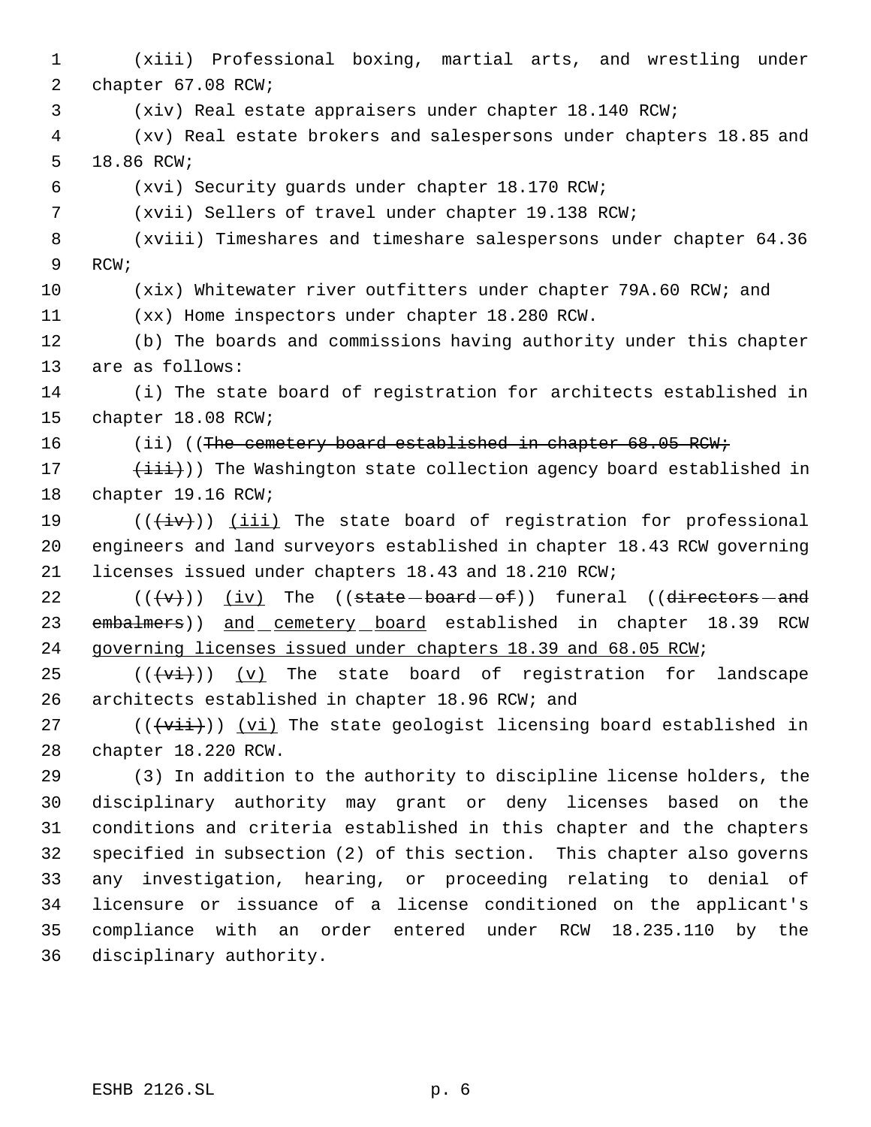(xiii) Professional boxing, martial arts, and wrestling under chapter 67.08 RCW; (xiv) Real estate appraisers under chapter 18.140 RCW; (xv) Real estate brokers and salespersons under chapters 18.85 and 18.86 RCW; (xvi) Security guards under chapter 18.170 RCW; (xvii) Sellers of travel under chapter 19.138 RCW; (xviii) Timeshares and timeshare salespersons under chapter 64.36 RCW; (xix) Whitewater river outfitters under chapter 79A.60 RCW; and (xx) Home inspectors under chapter 18.280 RCW. (b) The boards and commissions having authority under this chapter are as follows: (i) The state board of registration for architects established in chapter 18.08 RCW; 16 (ii) ((The cemetery board established in chapter 68.05 RCW;  $(iii)$ ) The Washington state collection agency board established in chapter 19.16 RCW;  $((\overleftrightarrow{iv}))$  ( $\overrightarrow{iii}$ ) The state board of registration for professional engineers and land surveyors established in chapter 18.43 RCW governing licenses issued under chapters 18.43 and 18.210 RCW;  $((\forall \forall))$  (iv) The  $((state - board - of))$  funeral ((directors - and 23 embalmers)) and cemetery board established in chapter 18.39 RCW governing licenses issued under chapters 18.39 and 68.05 RCW;  $((\overrightarrow{vt}))$  (v) The state board of registration for landscape architects established in chapter 18.96 RCW; and  $((\overrightarrow{vii}))$   $(vi)$  The state geologist licensing board established in chapter 18.220 RCW. (3) In addition to the authority to discipline license holders, the disciplinary authority may grant or deny licenses based on the conditions and criteria established in this chapter and the chapters specified in subsection (2) of this section. This chapter also governs any investigation, hearing, or proceeding relating to denial of licensure or issuance of a license conditioned on the applicant's compliance with an order entered under RCW 18.235.110 by the disciplinary authority.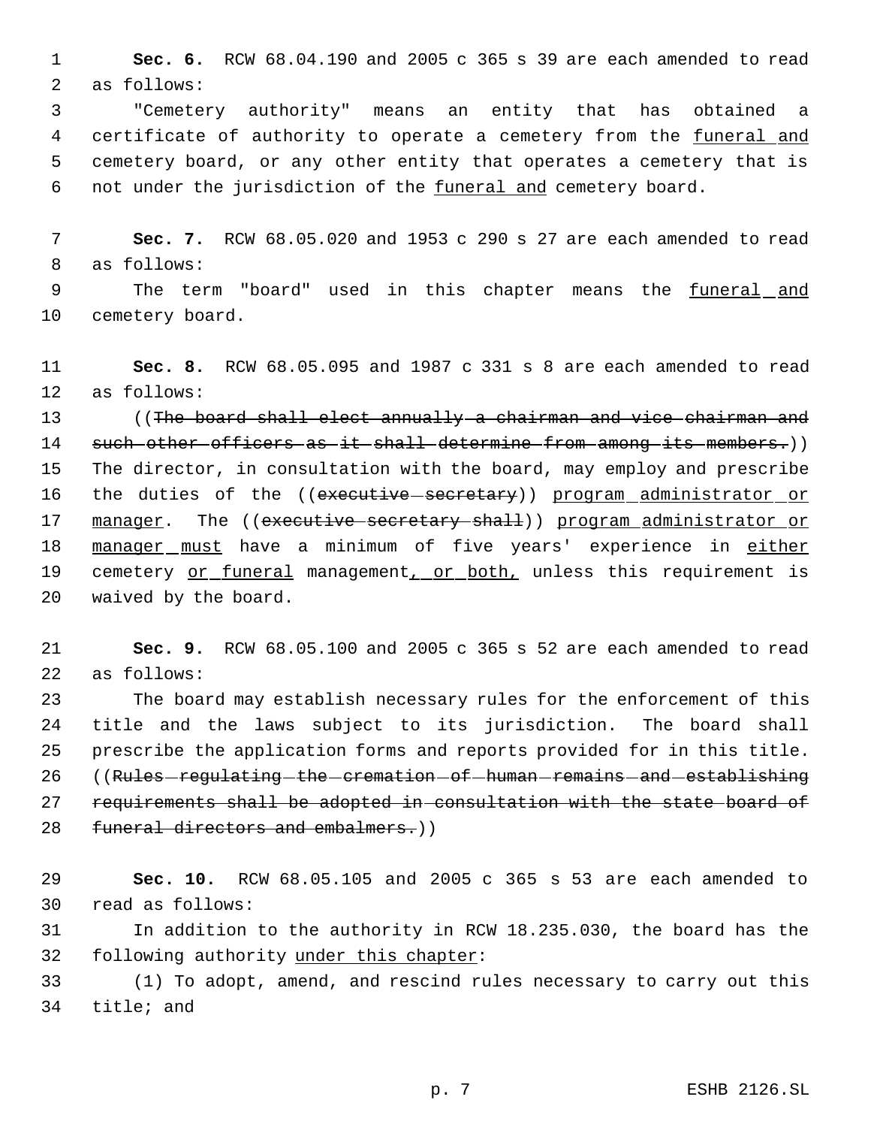**Sec. 6.** RCW 68.04.190 and 2005 c 365 s 39 are each amended to read as follows:

 "Cemetery authority" means an entity that has obtained a 4 certificate of authority to operate a cemetery from the funeral and cemetery board, or any other entity that operates a cemetery that is 6 not under the jurisdiction of the funeral and cemetery board.

 **Sec. 7.** RCW 68.05.020 and 1953 c 290 s 27 are each amended to read as follows:

 The term "board" used in this chapter means the funeral and cemetery board.

 **Sec. 8.** RCW 68.05.095 and 1987 c 331 s 8 are each amended to read as follows:

 ((The board shall elect annually a chairman and vice chairman and 14 such other officers as it shall determine from among its members.)) The director, in consultation with the board, may employ and prescribe 16 the duties of the ((executive secretary)) program administrator or 17 manager. The ((executive secretary shall)) program administrator or 18 manager must have a minimum of five years' experience in either 19 cemetery or funeral management, or both, unless this requirement is waived by the board.

 **Sec. 9.** RCW 68.05.100 and 2005 c 365 s 52 are each amended to read as follows:

 The board may establish necessary rules for the enforcement of this title and the laws subject to its jurisdiction. The board shall prescribe the application forms and reports provided for in this title. 26 ((Rules-regulating-the-cremation-of-human-remains-and-establishing 27 requirements shall be adopted in consultation with the state board of 28 funeral directors and embalmers.))

 **Sec. 10.** RCW 68.05.105 and 2005 c 365 s 53 are each amended to read as follows:

 In addition to the authority in RCW 18.235.030, the board has the 32 following authority under this chapter:

 (1) To adopt, amend, and rescind rules necessary to carry out this title; and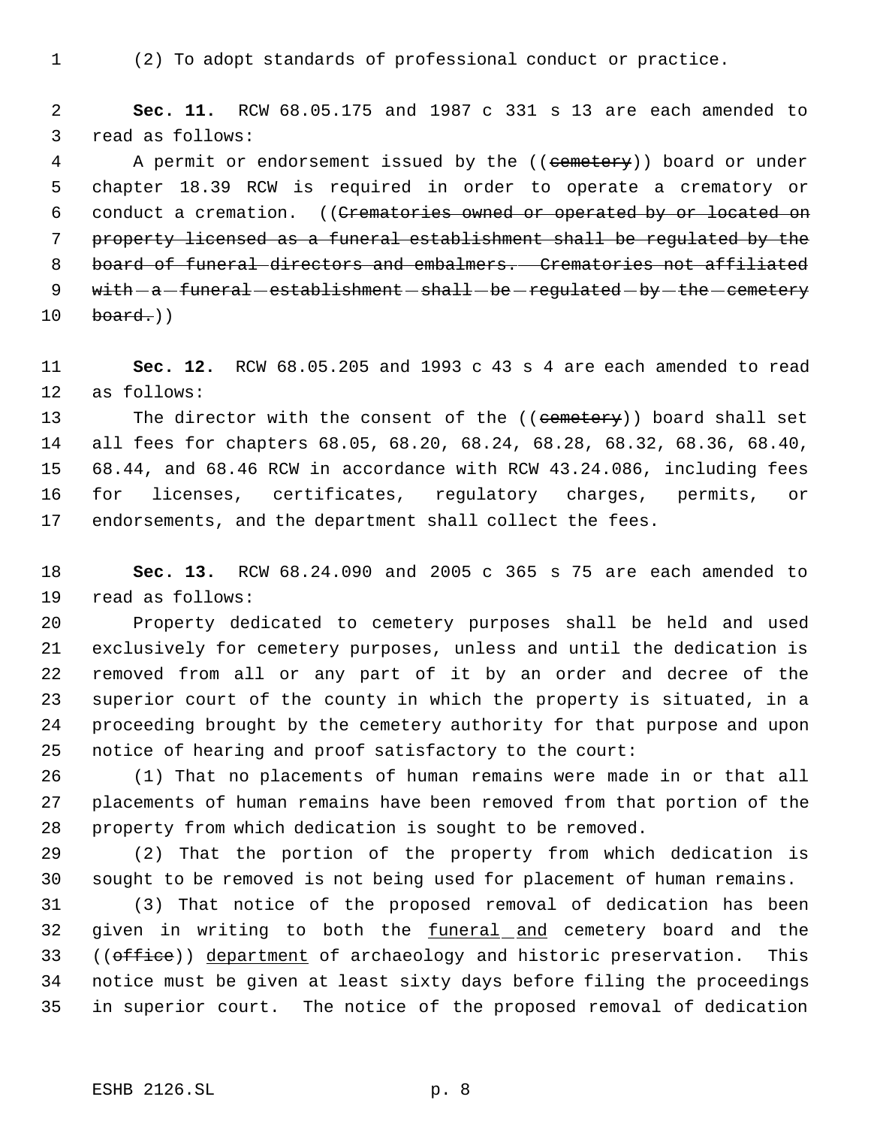(2) To adopt standards of professional conduct or practice.

 **Sec. 11.** RCW 68.05.175 and 1987 c 331 s 13 are each amended to read as follows:

4 A permit or endorsement issued by the ((cemetery)) board or under chapter 18.39 RCW is required in order to operate a crematory or 6 conduct a cremation. ((Crematories owned or operated by or located on property licensed as a funeral establishment shall be regulated by the board of funeral directors and embalmers. Crematories not affiliated  $with -a-funeral -establishment - shall - be - required - by - the -centery$ board.)

 **Sec. 12.** RCW 68.05.205 and 1993 c 43 s 4 are each amended to read as follows:

13 The director with the consent of the ((cemetery)) board shall set all fees for chapters 68.05, 68.20, 68.24, 68.28, 68.32, 68.36, 68.40, 68.44, and 68.46 RCW in accordance with RCW 43.24.086, including fees for licenses, certificates, regulatory charges, permits, or endorsements, and the department shall collect the fees.

 **Sec. 13.** RCW 68.24.090 and 2005 c 365 s 75 are each amended to read as follows:

 Property dedicated to cemetery purposes shall be held and used exclusively for cemetery purposes, unless and until the dedication is removed from all or any part of it by an order and decree of the superior court of the county in which the property is situated, in a proceeding brought by the cemetery authority for that purpose and upon notice of hearing and proof satisfactory to the court:

 (1) That no placements of human remains were made in or that all placements of human remains have been removed from that portion of the property from which dedication is sought to be removed.

 (2) That the portion of the property from which dedication is sought to be removed is not being used for placement of human remains.

 (3) That notice of the proposed removal of dedication has been 32 given in writing to both the funeral and cemetery board and the 33 ((office)) department of archaeology and historic preservation. This notice must be given at least sixty days before filing the proceedings in superior court. The notice of the proposed removal of dedication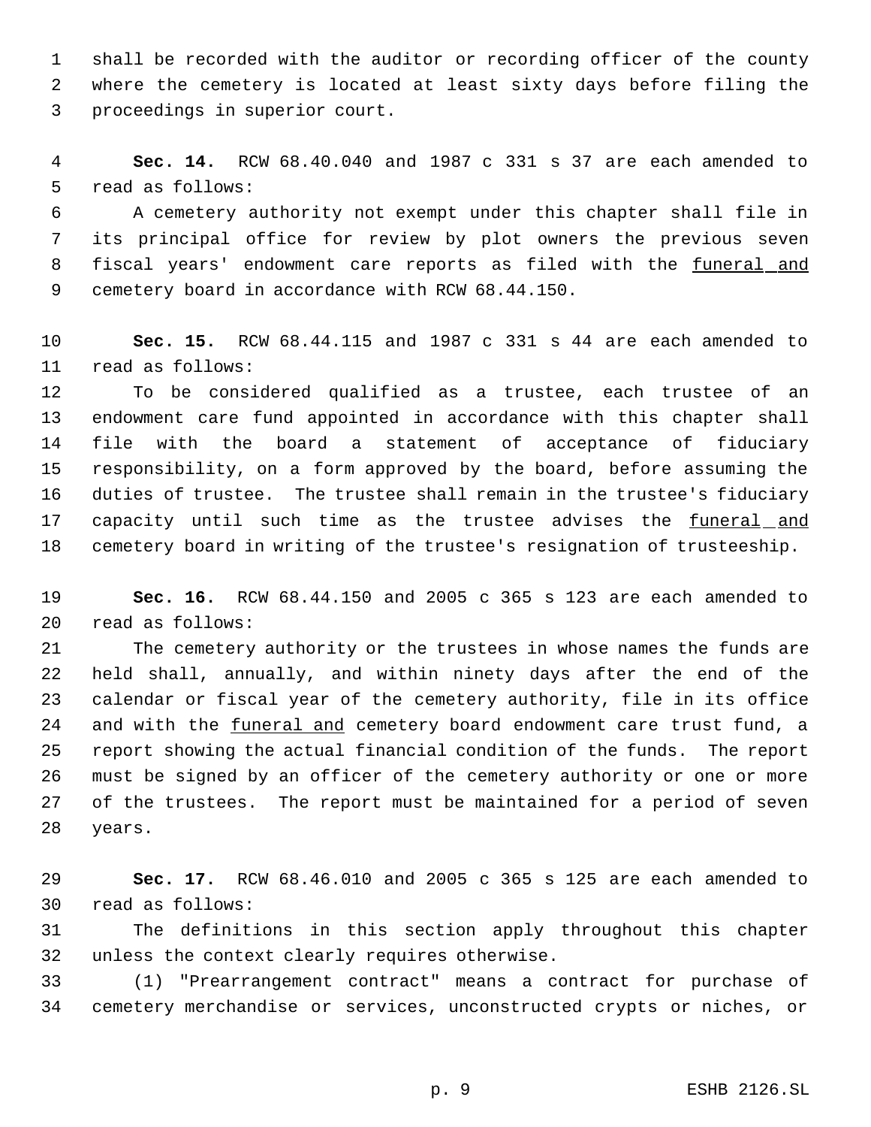shall be recorded with the auditor or recording officer of the county where the cemetery is located at least sixty days before filing the proceedings in superior court.

 **Sec. 14.** RCW 68.40.040 and 1987 c 331 s 37 are each amended to read as follows:

 A cemetery authority not exempt under this chapter shall file in its principal office for review by plot owners the previous seven 8 fiscal years' endowment care reports as filed with the funeral and cemetery board in accordance with RCW 68.44.150.

 **Sec. 15.** RCW 68.44.115 and 1987 c 331 s 44 are each amended to read as follows:

 To be considered qualified as a trustee, each trustee of an endowment care fund appointed in accordance with this chapter shall file with the board a statement of acceptance of fiduciary responsibility, on a form approved by the board, before assuming the duties of trustee. The trustee shall remain in the trustee's fiduciary 17 capacity until such time as the trustee advises the funeral and cemetery board in writing of the trustee's resignation of trusteeship.

 **Sec. 16.** RCW 68.44.150 and 2005 c 365 s 123 are each amended to read as follows:

 The cemetery authority or the trustees in whose names the funds are held shall, annually, and within ninety days after the end of the calendar or fiscal year of the cemetery authority, file in its office 24 and with the funeral and cemetery board endowment care trust fund, a report showing the actual financial condition of the funds. The report must be signed by an officer of the cemetery authority or one or more of the trustees. The report must be maintained for a period of seven years.

 **Sec. 17.** RCW 68.46.010 and 2005 c 365 s 125 are each amended to read as follows:

 The definitions in this section apply throughout this chapter unless the context clearly requires otherwise.

 (1) "Prearrangement contract" means a contract for purchase of cemetery merchandise or services, unconstructed crypts or niches, or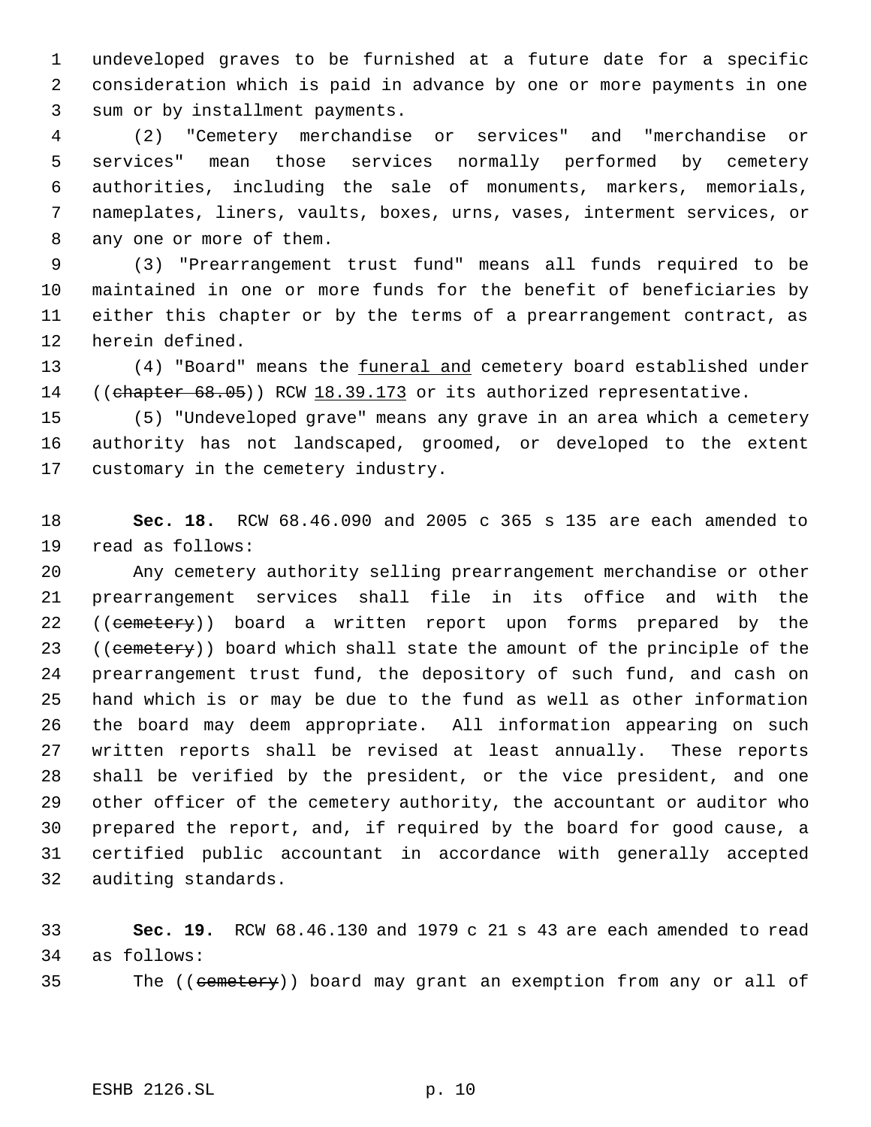undeveloped graves to be furnished at a future date for a specific consideration which is paid in advance by one or more payments in one sum or by installment payments.

 (2) "Cemetery merchandise or services" and "merchandise or services" mean those services normally performed by cemetery authorities, including the sale of monuments, markers, memorials, nameplates, liners, vaults, boxes, urns, vases, interment services, or any one or more of them.

 (3) "Prearrangement trust fund" means all funds required to be maintained in one or more funds for the benefit of beneficiaries by either this chapter or by the terms of a prearrangement contract, as herein defined.

13 (4) "Board" means the funeral and cemetery board established under 14 ((chapter 68.05)) RCW 18.39.173 or its authorized representative.

 (5) "Undeveloped grave" means any grave in an area which a cemetery authority has not landscaped, groomed, or developed to the extent customary in the cemetery industry.

 **Sec. 18.** RCW 68.46.090 and 2005 c 365 s 135 are each amended to read as follows:

 Any cemetery authority selling prearrangement merchandise or other prearrangement services shall file in its office and with the 22 ((cemetery)) board a written report upon forms prepared by the 23 ((cemetery)) board which shall state the amount of the principle of the prearrangement trust fund, the depository of such fund, and cash on hand which is or may be due to the fund as well as other information the board may deem appropriate. All information appearing on such written reports shall be revised at least annually. These reports shall be verified by the president, or the vice president, and one other officer of the cemetery authority, the accountant or auditor who prepared the report, and, if required by the board for good cause, a certified public accountant in accordance with generally accepted auditing standards.

 **Sec. 19.** RCW 68.46.130 and 1979 c 21 s 43 are each amended to read as follows:

35 The ((cemetery)) board may grant an exemption from any or all of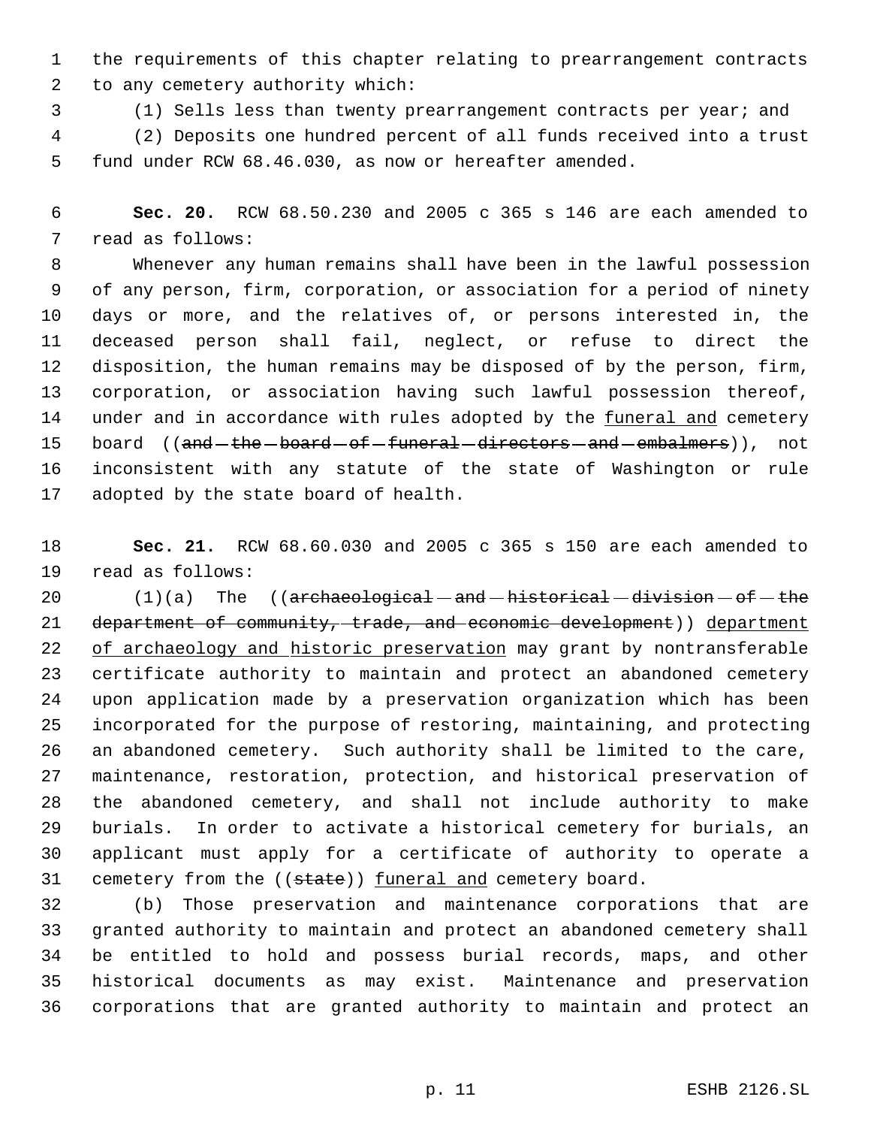the requirements of this chapter relating to prearrangement contracts to any cemetery authority which:

(1) Sells less than twenty prearrangement contracts per year; and

 (2) Deposits one hundred percent of all funds received into a trust fund under RCW 68.46.030, as now or hereafter amended.

 **Sec. 20.** RCW 68.50.230 and 2005 c 365 s 146 are each amended to read as follows:

 Whenever any human remains shall have been in the lawful possession of any person, firm, corporation, or association for a period of ninety days or more, and the relatives of, or persons interested in, the deceased person shall fail, neglect, or refuse to direct the disposition, the human remains may be disposed of by the person, firm, corporation, or association having such lawful possession thereof, 14 under and in accordance with rules adopted by the funeral and cemetery 15 board ((and the board of funeral directors and embalmers)), not inconsistent with any statute of the state of Washington or rule adopted by the state board of health.

 **Sec. 21.** RCW 68.60.030 and 2005 c 365 s 150 are each amended to read as follows:

 $(1)(a)$  The  $((\text{arehaeological}-\text{and}-\text{historical}-\text{division}-\text{of}-\text{the}$ 21 department of community, trade, and economic development)) department 22 of archaeology and historic preservation may grant by nontransferable certificate authority to maintain and protect an abandoned cemetery upon application made by a preservation organization which has been incorporated for the purpose of restoring, maintaining, and protecting an abandoned cemetery. Such authority shall be limited to the care, maintenance, restoration, protection, and historical preservation of the abandoned cemetery, and shall not include authority to make burials. In order to activate a historical cemetery for burials, an applicant must apply for a certificate of authority to operate a 31 cemetery from the ((state)) funeral and cemetery board.

 (b) Those preservation and maintenance corporations that are granted authority to maintain and protect an abandoned cemetery shall be entitled to hold and possess burial records, maps, and other historical documents as may exist. Maintenance and preservation corporations that are granted authority to maintain and protect an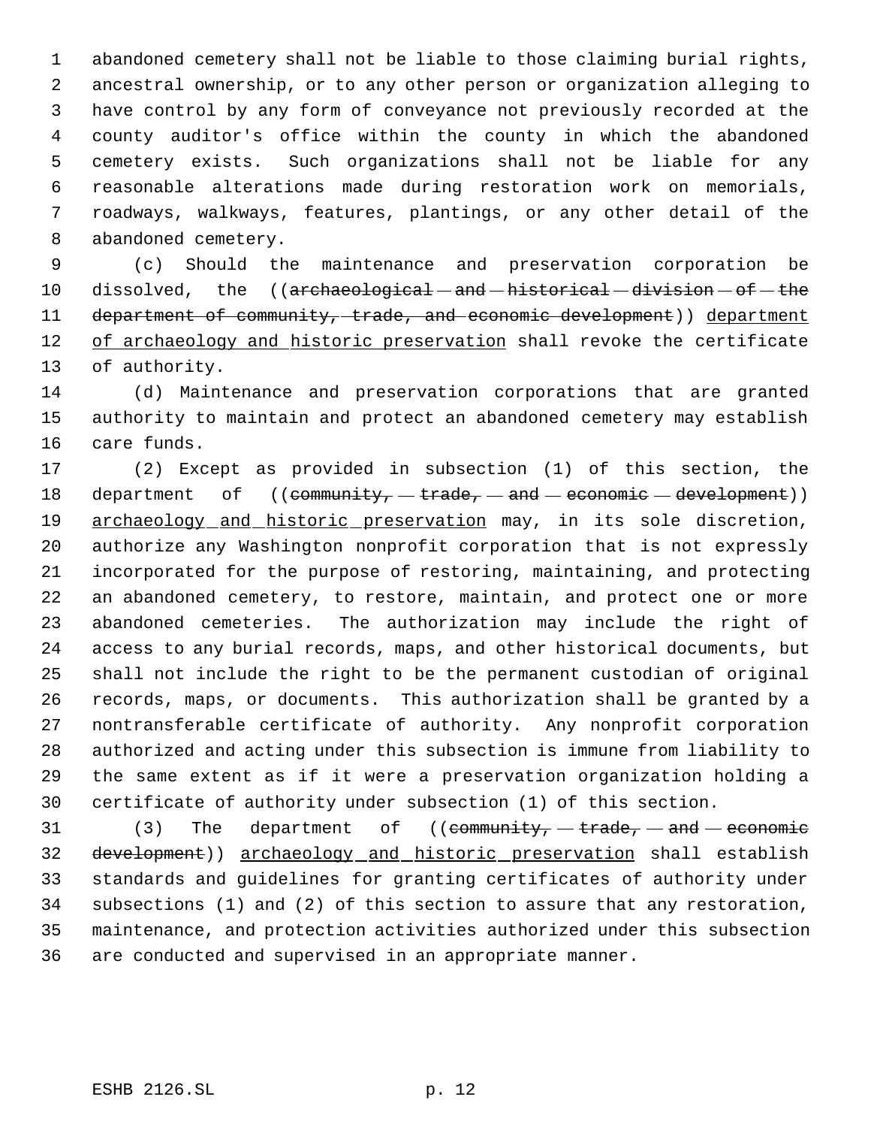abandoned cemetery shall not be liable to those claiming burial rights, ancestral ownership, or to any other person or organization alleging to have control by any form of conveyance not previously recorded at the county auditor's office within the county in which the abandoned cemetery exists. Such organizations shall not be liable for any reasonable alterations made during restoration work on memorials, roadways, walkways, features, plantings, or any other detail of the abandoned cemetery.

 (c) Should the maintenance and preservation corporation be 10 dissolved, the ((archaeological - and - historical - division - of - the 11 department of community, trade, and economic development)) department 12 of archaeology and historic preservation shall revoke the certificate of authority.

 (d) Maintenance and preservation corporations that are granted authority to maintain and protect an abandoned cemetery may establish care funds.

 (2) Except as provided in subsection (1) of this section, the 18 department of  $((\text{community}, -\text{trade}, -\text{and} -\text{economic} -\text{development}))$ 19 archaeology and historic preservation may, in its sole discretion, authorize any Washington nonprofit corporation that is not expressly incorporated for the purpose of restoring, maintaining, and protecting an abandoned cemetery, to restore, maintain, and protect one or more abandoned cemeteries. The authorization may include the right of access to any burial records, maps, and other historical documents, but shall not include the right to be the permanent custodian of original records, maps, or documents. This authorization shall be granted by a nontransferable certificate of authority. Any nonprofit corporation authorized and acting under this subsection is immune from liability to the same extent as if it were a preservation organization holding a certificate of authority under subsection (1) of this section.

31 (3) The department of ((community,  $-$  trade,  $-$  and  $-$  economic 32 development)) archaeology and historic preservation shall establish standards and guidelines for granting certificates of authority under subsections (1) and (2) of this section to assure that any restoration, maintenance, and protection activities authorized under this subsection are conducted and supervised in an appropriate manner.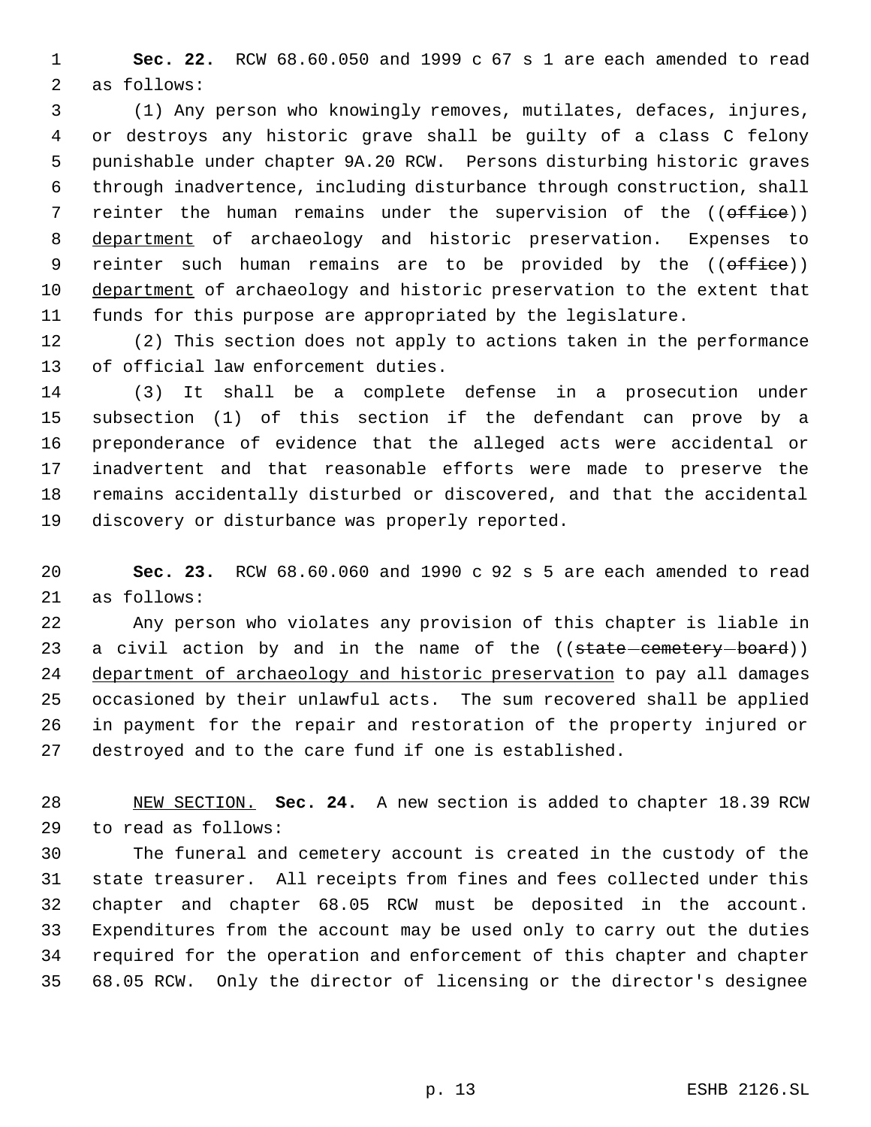**Sec. 22.** RCW 68.60.050 and 1999 c 67 s 1 are each amended to read as follows:

 (1) Any person who knowingly removes, mutilates, defaces, injures, or destroys any historic grave shall be guilty of a class C felony punishable under chapter 9A.20 RCW. Persons disturbing historic graves through inadvertence, including disturbance through construction, shall 7 reinter the human remains under the supervision of the ((office)) department of archaeology and historic preservation. Expenses to 9 reinter such human remains are to be provided by the ((office)) 10 department of archaeology and historic preservation to the extent that funds for this purpose are appropriated by the legislature.

 (2) This section does not apply to actions taken in the performance of official law enforcement duties.

 (3) It shall be a complete defense in a prosecution under subsection (1) of this section if the defendant can prove by a preponderance of evidence that the alleged acts were accidental or inadvertent and that reasonable efforts were made to preserve the remains accidentally disturbed or discovered, and that the accidental discovery or disturbance was properly reported.

 **Sec. 23.** RCW 68.60.060 and 1990 c 92 s 5 are each amended to read as follows:

 Any person who violates any provision of this chapter is liable in 23 a civil action by and in the name of the ((state-cemetery-board)) department of archaeology and historic preservation to pay all damages occasioned by their unlawful acts. The sum recovered shall be applied in payment for the repair and restoration of the property injured or destroyed and to the care fund if one is established.

 NEW SECTION. **Sec. 24.** A new section is added to chapter 18.39 RCW to read as follows:

 The funeral and cemetery account is created in the custody of the state treasurer. All receipts from fines and fees collected under this chapter and chapter 68.05 RCW must be deposited in the account. Expenditures from the account may be used only to carry out the duties required for the operation and enforcement of this chapter and chapter 68.05 RCW. Only the director of licensing or the director's designee